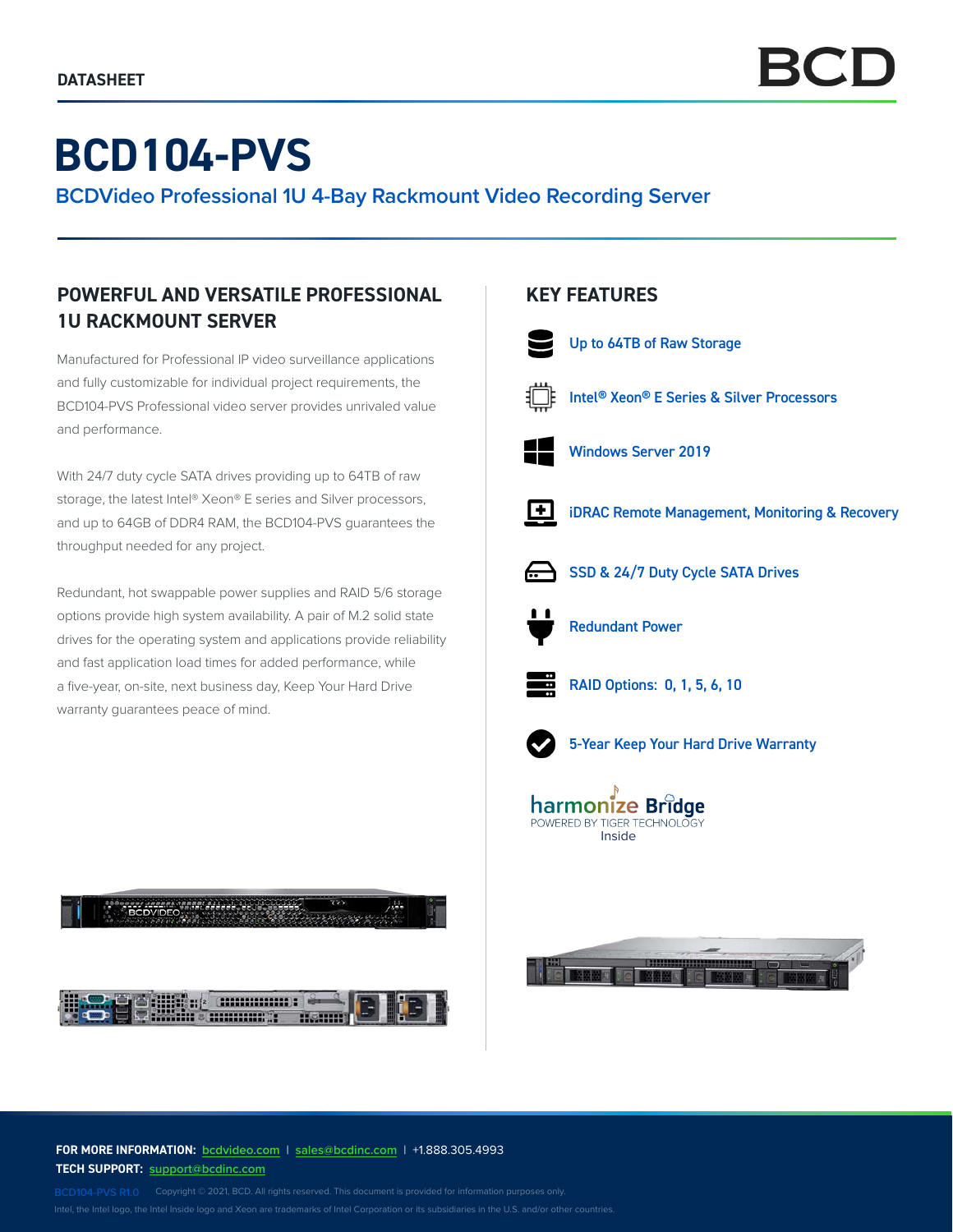# **BCD104-PVS**

**BCDVideo Professional 1U 4-Bay Rackmount Video Recording Server**

# **POWERFUL AND VERSATILE PROFESSIONAL 1U RACKMOUNT SERVER**

Manufactured for Professional IP video surveillance applications and fully customizable for individual project requirements, the BCD104-PVS Professional video server provides unrivaled value and performance.

With 24/7 duty cycle SATA drives providing up to 64TB of raw storage, the latest Intel® Xeon® E series and Silver processors, and up to 64GB of DDR4 RAM, the BCD104-PVS guarantees the throughput needed for any project.

Redundant, hot swappable power supplies and RAID 5/6 storage options provide high system availability. A pair of M.2 solid state drives for the operating system and applications provide reliability and fast application load times for added performance, while a five-year, on-site, next business day, Keep Your Hard Drive warranty guarantees peace of mind.



# **KEY FEATURES**



Up to 64TB of Raw Storage



Intel® Xeon® E Series & Silver Processors



Windows Server 2019



iDRAC Remote Management, Monitoring & Recovery



SSD & 24/7 Duty Cycle SATA Drives



Redundant Power



RAID Options: 0, 1, 5, 6, 10



5-Year Keep Your Hard Drive Warranty





**FOR MORE INFORMATION: bcdvideo.com** | **[sales@bcdinc.com](mailto:sales%40bcdinc.com?subject=)** | +1.888.305.4993 **TECH SUPPORT: [support@bcdinc.com](mailto:support%40bcdinc.com?subject=)**

Intel, the Intel logo, the Intel Inside logo and Xeon are trademarks of Intel Corporation or its subsidiaries in the U.S. and/or other countries.